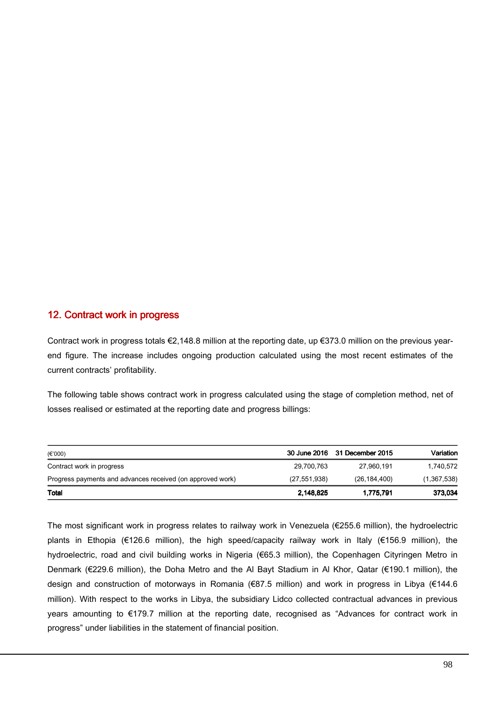## 12. Contract work in progress

Contract work in progress totals €2,148.8 million at the reporting date, up €373.0 million on the previous yearend figure. The increase includes ongoing production calculated using the most recent estimates of the current contracts' profitability.

The following table shows contract work in progress calculated using the stage of completion method, net of losses realised or estimated at the reporting date and progress billings:

| (€'000)                                                    |                | 30 June 2016 31 December 2015 | Variation   |
|------------------------------------------------------------|----------------|-------------------------------|-------------|
| Contract work in progress                                  | 29,700,763     | 27,960,191                    | 1,740,572   |
| Progress payments and advances received (on approved work) | (27, 551, 938) | (26, 184, 400)                | (1,367,538) |
| <b>Total</b>                                               | 2,148,825      | 1,775,791                     | 373,034     |

The most significant work in progress relates to railway work in Venezuela (€255.6 million), the hydroelectric plants in Ethopia (€126.6 million), the high speed/capacity railway work in Italy (€156.9 million), the hydroelectric, road and civil building works in Nigeria (€65.3 million), the Copenhagen Cityringen Metro in Denmark (€229.6 million), the Doha Metro and the Al Bayt Stadium in Al Khor, Qatar (€190.1 million), the design and construction of motorways in Romania (€87.5 million) and work in progress in Libya (€144.6 million). With respect to the works in Libya, the subsidiary Lidco collected contractual advances in previous years amounting to €179.7 million at the reporting date, recognised as "Advances for contract work in progress" under liabilities in the statement of financial position.